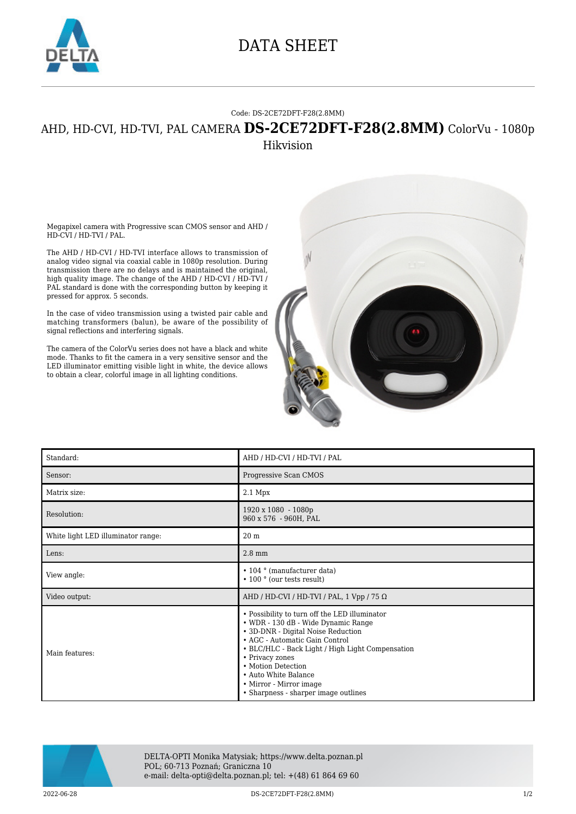

## DATA SHEET

## Code: DS-2CE72DFT-F28(2.8MM)

## AHD, HD-CVI, HD-TVI, PAL CAMERA **DS-2CE72DFT-F28(2.8MM)** ColorVu - 1080p Hikvision

Megapixel camera with Progressive scan CMOS sensor and AHD / HD-CVI / HD-TVI / PAL.

The AHD / HD-CVI / HD-TVI interface allows to transmission of analog video signal via coaxial cable in 1080p resolution. During transmission there are no delays and is maintained the original, high quality image. The change of the AHD / HD-CVI / HD-TVI / PAL standard is done with the corresponding button by keeping it pressed for approx. 5 seconds.

In the case of video transmission using a twisted pair cable and matching transformers (balun), be aware of the possibility of signal reflections and interfering signals.

The camera of the ColorVu series does not have a black and white mode. Thanks to fit the camera in a very sensitive sensor and the LED illuminator emitting visible light in white, the device allows to obtain a clear, colorful image in all lighting conditions.



| Standard:                          | AHD / HD-CVI / HD-TVI / PAL                                                                                                                                                                                                                                                                                                                          |
|------------------------------------|------------------------------------------------------------------------------------------------------------------------------------------------------------------------------------------------------------------------------------------------------------------------------------------------------------------------------------------------------|
| Sensor:                            | Progressive Scan CMOS                                                                                                                                                                                                                                                                                                                                |
| Matrix size:                       | $2.1$ Mpx                                                                                                                                                                                                                                                                                                                                            |
| Resolution:                        | 1920 x 1080 - 1080p<br>960 x 576 - 960H, PAL                                                                                                                                                                                                                                                                                                         |
| White light LED illuminator range: | 20 <sub>m</sub>                                                                                                                                                                                                                                                                                                                                      |
| Lens:                              | $2.8$ mm                                                                                                                                                                                                                                                                                                                                             |
| View angle:                        | $\cdot$ 104 $\circ$ (manufacturer data)<br>$\cdot$ 100 $^{\circ}$ (our tests result)                                                                                                                                                                                                                                                                 |
| Video output:                      | AHD / HD-CVI / HD-TVI / PAL, 1 Vpp / 75 $\Omega$                                                                                                                                                                                                                                                                                                     |
| Main features:                     | • Possibility to turn off the LED illuminator<br>• WDR - 130 dB - Wide Dynamic Range<br>• 3D-DNR - Digital Noise Reduction<br>• AGC - Automatic Gain Control<br>• BLC/HLC - Back Light / High Light Compensation<br>• Privacy zones<br>• Motion Detection<br>• Auto White Balance<br>• Mirror - Mirror image<br>• Sharpness - sharper image outlines |



DELTA-OPTI Monika Matysiak; https://www.delta.poznan.pl POL; 60-713 Poznań; Graniczna 10 e-mail: delta-opti@delta.poznan.pl; tel: +(48) 61 864 69 60